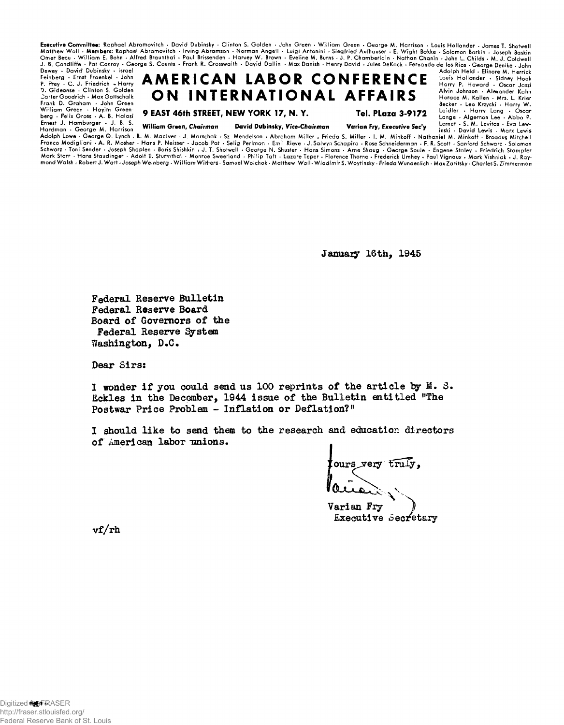Executive Committee: Raphael Abramovitch • David Dubinsky • Clinton S. Golden • John Green • William Green • George M. Harrison • Louis Hollander • James T. Shotwell<br>Matthew Woll • Members: Raphael Abramovitch • Irving Abr J . B. Condliffe • Pat Conroy « George S. Counts • Frank R. Crosswaith • Dayid Dallin • Max Danish • Henry David • Jules DeKock • Fernando de los Rios • George Denike • John

Dewey • David Dubinsky • Israel Feinberg • Ernst Fraenkel • John P. Prey • C . J . Friedrich - H arry 0. Gideonse • Clinton S. Golden Carter Goodrich • Max Gottschalk Frank D. Graham • John Green<br>William Green • Hayim Greenberg · Felix Gross · A. B. Halasi Ernest J. Hamburger • J. B. S.<br>Hardman • George M. Harrison

 $AMERICAN LABOR COMFERENENE <sup>Adolph Held</sup> + Bilmore M. Herick  
Hint of the theory of the theory of the theory of the theory of the$ ON INTERNATIONAL AFFAIRS

**9 EAST 46th STREET, NEW YORK 17, N. Y.**

**Tel. PLaza 3-9172**

Alvin Johnson • Alexander Kahn Horace M. Kallen • Mrs. L. Krier Becker . Leo Krzycki . Harry W. Laidler • Harry Lang • Oscar<br>Lange • Algernon Lee • Abba P.<br>Lerner • S. M. Levitas • Eva Lew-

William Green, Chairman David Dubinsky, Vice-Chairman

Varian Fry, Executive Sec'y

inski • David Lewis • Marx Lewis A dolph Lowe • G eorge Q . Lynch . R. M. M aclver • J . Marschak • Sz. Mendelson . Abraham M iller : Frieda S. M iller • I. M. Minkoff • Nathaniel M. Minkoff • Broadus Mitchell Franco Modigliani • A. R. Mosher • Hans P. Neisser • Jacob Pat • Selig Perlman • Emil Rieve • J. Salwyn Schapiro • Rose Schneiderman • F. R. Scott • Sanford Schwarz • Solomon Schwarz • Toni Sender • Joseph Shaplen • Boris Shishkin • J. T. Shotwell • George N. Shuster • Hans Simons • Arne Skaug • George Soule • Engene Staley • Friedrich Stampfer Mark Starr • Hans Staudinger • Adolt E. Sturmthal • Monroe Sweetland • Philip Taft • Lazare Teper • Florence Thorne • Frederick Umhey • Paul Vignaux • Mark Vishniak • J. Ray-<br>mond Walsh • Robert J. Watt •Joseph Weinberg •

January 16th, 1945

Federal Reserve Bulletin Federal Reserve Board Board of Governors of the Federal Reserve System Washington, D.C.

Dear Sirs:

**1 wonder if you could send us 100 reprints of the article by M. S.** Eckles in the December, 1944 issue of the Bulletin entitled "The Postwar Price Problem - Inflation or Deflation?"

I should like to send them to the research and education directors of American labor unions.

 $\left\{\text{ours~very~truly,}\right.$ *H*

**V a r ian Fry** *Executive Secretary* 

**rf/rh**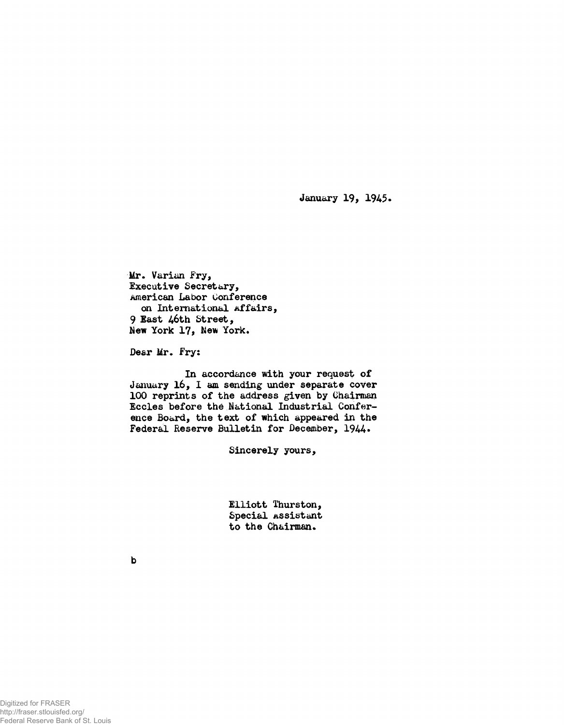**January 19, 1945«**

**Mr. V arian F ry , Executive Secretary,** American Labor Conference on International Affairs, 9 East 46th Street, New York 17, New York.

Dear Mr. Fry:

In accordance with your request of January 16, I am sending under separate cover 100 reprints of the address given by Chairman Eccles before the National Industrial Conference Board, the text of which appeared in the Federal Reserve Bulletin for December, 1944.

Sincerely yours,

**Elliott Thurston, Special Assistant to the Chairman.**

**b**